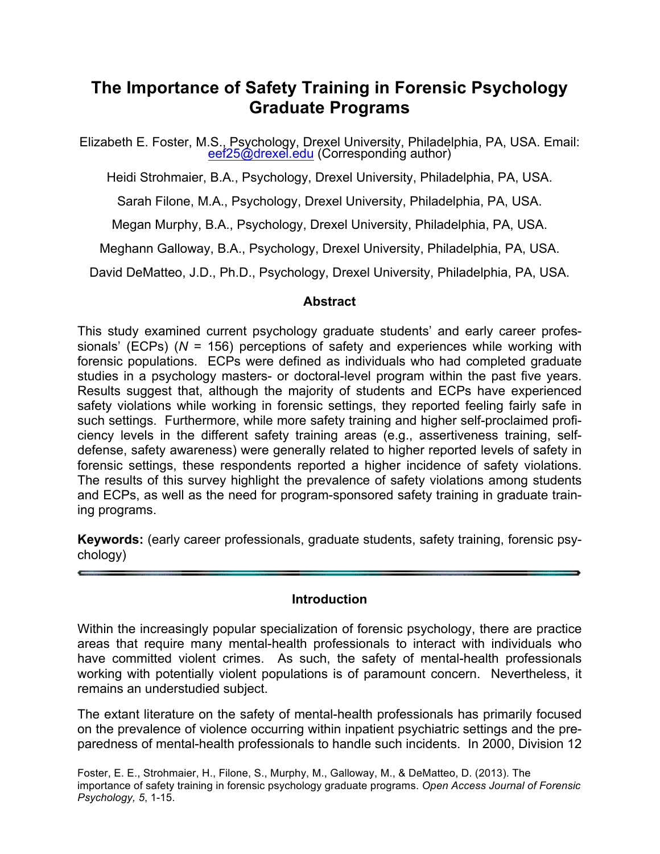# **The Importance of Safety Training in Forensic Psychology Graduate Programs**

Elizabeth E. Foster, M.S., Psychology, Drexel University, Philadelphia, PA, USA. Email:<br>eef25@drexel.edu (Corresponding author)

Heidi Strohmaier, B.A., Psychology, Drexel University, Philadelphia, PA, USA.

Sarah Filone, M.A., Psychology, Drexel University, Philadelphia, PA, USA.

Megan Murphy, B.A., Psychology, Drexel University, Philadelphia, PA, USA.

Meghann Galloway, B.A., Psychology, Drexel University, Philadelphia, PA, USA.

David DeMatteo, J.D., Ph.D., Psychology, Drexel University, Philadelphia, PA, USA.

#### **Abstract**

This study examined current psychology graduate students' and early career professionals' (ECPs) (*N* = 156) perceptions of safety and experiences while working with forensic populations. ECPs were defined as individuals who had completed graduate studies in a psychology masters- or doctoral-level program within the past five years. Results suggest that, although the majority of students and ECPs have experienced safety violations while working in forensic settings, they reported feeling fairly safe in such settings. Furthermore, while more safety training and higher self-proclaimed proficiency levels in the different safety training areas (e.g., assertiveness training, selfdefense, safety awareness) were generally related to higher reported levels of safety in forensic settings, these respondents reported a higher incidence of safety violations. The results of this survey highlight the prevalence of safety violations among students and ECPs, as well as the need for program-sponsored safety training in graduate training programs.

**Keywords:** (early career professionals, graduate students, safety training, forensic psychology)

#### **Introduction**

Within the increasingly popular specialization of forensic psychology, there are practice areas that require many mental-health professionals to interact with individuals who have committed violent crimes. As such, the safety of mental-health professionals working with potentially violent populations is of paramount concern. Nevertheless, it remains an understudied subject.

The extant literature on the safety of mental-health professionals has primarily focused on the prevalence of violence occurring within inpatient psychiatric settings and the preparedness of mental-health professionals to handle such incidents. In 2000, Division 12

Foster, E. E., Strohmaier, H., Filone, S., Murphy, M., Galloway, M., & DeMatteo, D. (2013). The importance of safety training in forensic psychology graduate programs. *Open Access Journal of Forensic Psychology, 5*, 1-15.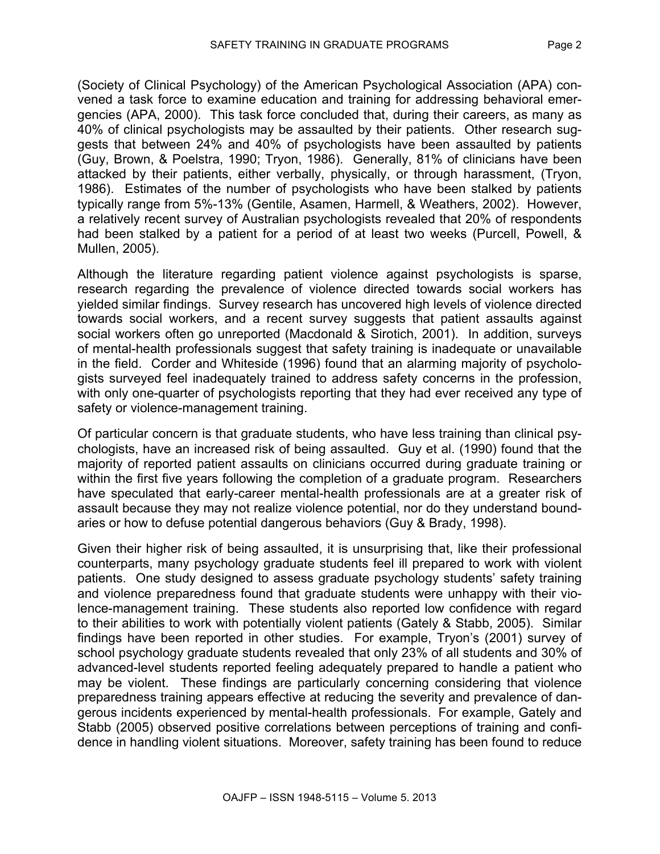(Society of Clinical Psychology) of the American Psychological Association (APA) convened a task force to examine education and training for addressing behavioral emergencies (APA, 2000). This task force concluded that, during their careers, as many as 40% of clinical psychologists may be assaulted by their patients. Other research suggests that between 24% and 40% of psychologists have been assaulted by patients (Guy, Brown, & Poelstra, 1990; Tryon, 1986). Generally, 81% of clinicians have been attacked by their patients, either verbally, physically, or through harassment, (Tryon, 1986). Estimates of the number of psychologists who have been stalked by patients typically range from 5%-13% (Gentile, Asamen, Harmell, & Weathers, 2002). However, a relatively recent survey of Australian psychologists revealed that 20% of respondents had been stalked by a patient for a period of at least two weeks (Purcell, Powell, & Mullen, 2005).

Although the literature regarding patient violence against psychologists is sparse, research regarding the prevalence of violence directed towards social workers has yielded similar findings. Survey research has uncovered high levels of violence directed towards social workers, and a recent survey suggests that patient assaults against social workers often go unreported (Macdonald & Sirotich, 2001). In addition, surveys of mental-health professionals suggest that safety training is inadequate or unavailable in the field. Corder and Whiteside (1996) found that an alarming majority of psychologists surveyed feel inadequately trained to address safety concerns in the profession, with only one-quarter of psychologists reporting that they had ever received any type of safety or violence-management training.

Of particular concern is that graduate students, who have less training than clinical psychologists, have an increased risk of being assaulted. Guy et al. (1990) found that the majority of reported patient assaults on clinicians occurred during graduate training or within the first five years following the completion of a graduate program. Researchers have speculated that early-career mental-health professionals are at a greater risk of assault because they may not realize violence potential, nor do they understand boundaries or how to defuse potential dangerous behaviors (Guy & Brady, 1998).

Given their higher risk of being assaulted, it is unsurprising that, like their professional counterparts, many psychology graduate students feel ill prepared to work with violent patients. One study designed to assess graduate psychology students' safety training and violence preparedness found that graduate students were unhappy with their violence-management training. These students also reported low confidence with regard to their abilities to work with potentially violent patients (Gately & Stabb, 2005). Similar findings have been reported in other studies. For example, Tryon's (2001) survey of school psychology graduate students revealed that only 23% of all students and 30% of advanced-level students reported feeling adequately prepared to handle a patient who may be violent. These findings are particularly concerning considering that violence preparedness training appears effective at reducing the severity and prevalence of dangerous incidents experienced by mental-health professionals. For example, Gately and Stabb (2005) observed positive correlations between perceptions of training and confidence in handling violent situations. Moreover, safety training has been found to reduce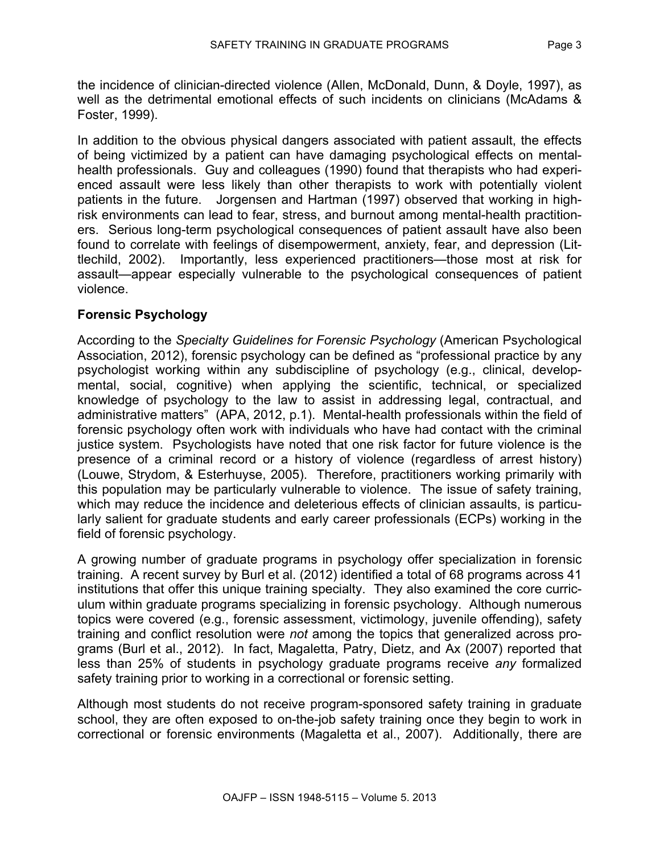the incidence of clinician-directed violence (Allen, McDonald, Dunn, & Doyle, 1997), as well as the detrimental emotional effects of such incidents on clinicians (McAdams & Foster, 1999).

In addition to the obvious physical dangers associated with patient assault, the effects of being victimized by a patient can have damaging psychological effects on mentalhealth professionals. Guy and colleagues (1990) found that therapists who had experienced assault were less likely than other therapists to work with potentially violent patients in the future. Jorgensen and Hartman (1997) observed that working in highrisk environments can lead to fear, stress, and burnout among mental-health practitioners. Serious long-term psychological consequences of patient assault have also been found to correlate with feelings of disempowerment, anxiety, fear, and depression (Littlechild, 2002). Importantly, less experienced practitioners—those most at risk for assault—appear especially vulnerable to the psychological consequences of patient violence.

## **Forensic Psychology**

According to the *Specialty Guidelines for Forensic Psychology* (American Psychological Association, 2012), forensic psychology can be defined as "professional practice by any psychologist working within any subdiscipline of psychology (e.g., clinical, developmental, social, cognitive) when applying the scientific, technical, or specialized knowledge of psychology to the law to assist in addressing legal, contractual, and administrative matters" (APA, 2012, p.1). Mental-health professionals within the field of forensic psychology often work with individuals who have had contact with the criminal justice system. Psychologists have noted that one risk factor for future violence is the presence of a criminal record or a history of violence (regardless of arrest history) (Louwe, Strydom, & Esterhuyse, 2005). Therefore, practitioners working primarily with this population may be particularly vulnerable to violence. The issue of safety training, which may reduce the incidence and deleterious effects of clinician assaults, is particularly salient for graduate students and early career professionals (ECPs) working in the field of forensic psychology.

A growing number of graduate programs in psychology offer specialization in forensic training. A recent survey by Burl et al. (2012) identified a total of 68 programs across 41 institutions that offer this unique training specialty. They also examined the core curriculum within graduate programs specializing in forensic psychology. Although numerous topics were covered (e.g., forensic assessment, victimology, juvenile offending), safety training and conflict resolution were *not* among the topics that generalized across programs (Burl et al., 2012). In fact, Magaletta, Patry, Dietz, and Ax (2007) reported that less than 25% of students in psychology graduate programs receive *any* formalized safety training prior to working in a correctional or forensic setting.

Although most students do not receive program-sponsored safety training in graduate school, they are often exposed to on-the-job safety training once they begin to work in correctional or forensic environments (Magaletta et al., 2007). Additionally, there are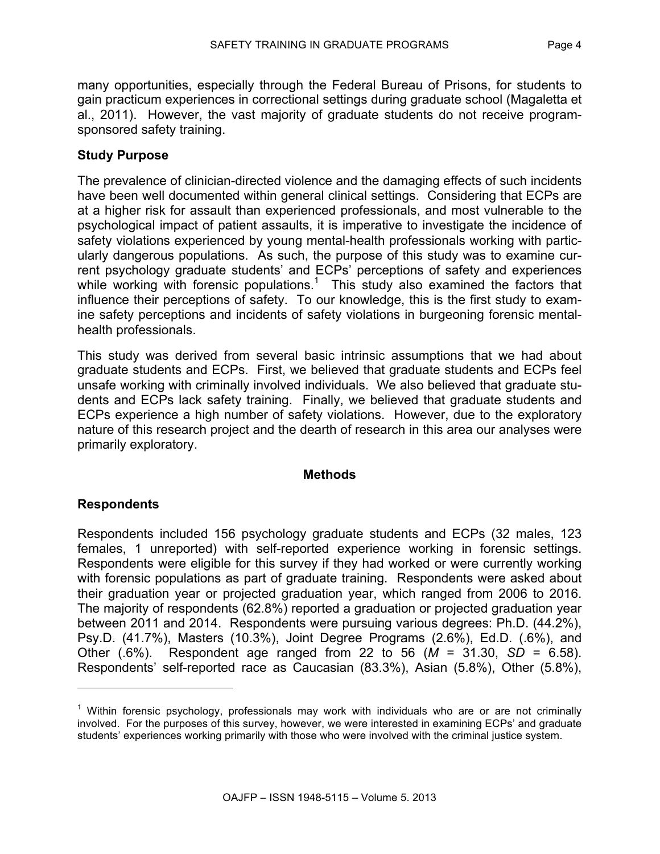many opportunities, especially through the Federal Bureau of Prisons, for students to gain practicum experiences in correctional settings during graduate school (Magaletta et al., 2011). However, the vast majority of graduate students do not receive programsponsored safety training.

#### **Study Purpose**

The prevalence of clinician-directed violence and the damaging effects of such incidents have been well documented within general clinical settings. Considering that ECPs are at a higher risk for assault than experienced professionals, and most vulnerable to the psychological impact of patient assaults, it is imperative to investigate the incidence of safety violations experienced by young mental-health professionals working with particularly dangerous populations. As such, the purpose of this study was to examine current psychology graduate students' and ECPs' perceptions of safety and experiences while working with forensic populations.<sup>1</sup> This study also examined the factors that influence their perceptions of safety. To our knowledge, this is the first study to examine safety perceptions and incidents of safety violations in burgeoning forensic mentalhealth professionals.

This study was derived from several basic intrinsic assumptions that we had about graduate students and ECPs. First, we believed that graduate students and ECPs feel unsafe working with criminally involved individuals. We also believed that graduate students and ECPs lack safety training. Finally, we believed that graduate students and ECPs experience a high number of safety violations. However, due to the exploratory nature of this research project and the dearth of research in this area our analyses were primarily exploratory.

#### **Methods**

#### **Respondents**

 $\overline{a}$ 

Respondents included 156 psychology graduate students and ECPs (32 males, 123 females, 1 unreported) with self-reported experience working in forensic settings. Respondents were eligible for this survey if they had worked or were currently working with forensic populations as part of graduate training. Respondents were asked about their graduation year or projected graduation year, which ranged from 2006 to 2016. The majority of respondents (62.8%) reported a graduation or projected graduation year between 2011 and 2014. Respondents were pursuing various degrees: Ph.D. (44.2%), Psy.D. (41.7%), Masters (10.3%), Joint Degree Programs (2.6%), Ed.D. (.6%), and Other (.6%). Respondent age ranged from 22 to 56 (*M* = 31.30, *SD* = 6.58). Respondents' self-reported race as Caucasian (83.3%), Asian (5.8%), Other (5.8%),

 $1$  Within forensic psychology, professionals may work with individuals who are or are not criminally involved. For the purposes of this survey, however, we were interested in examining ECPs' and graduate students' experiences working primarily with those who were involved with the criminal justice system.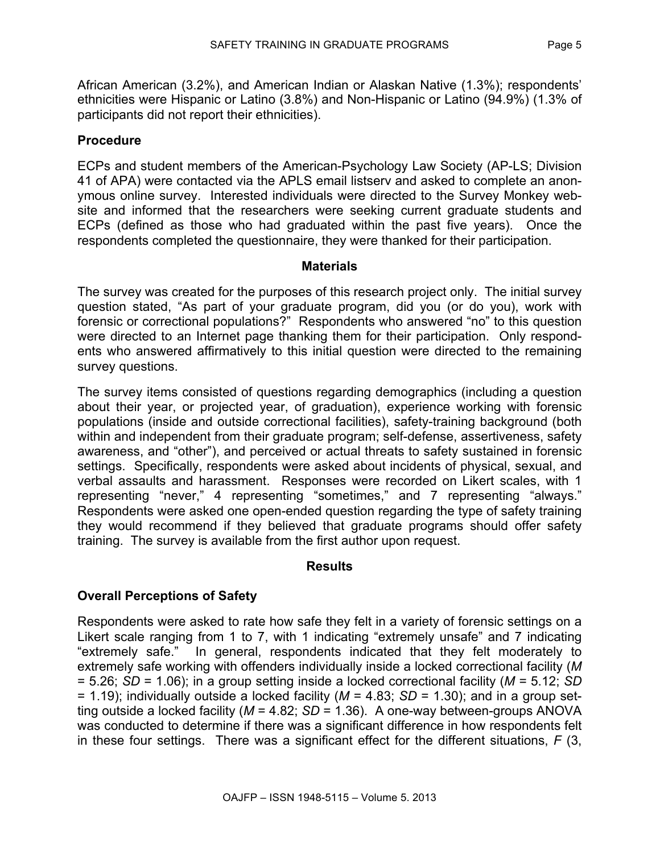African American (3.2%), and American Indian or Alaskan Native (1.3%); respondents' ethnicities were Hispanic or Latino (3.8%) and Non-Hispanic or Latino (94.9%) (1.3% of participants did not report their ethnicities).

## **Procedure**

ECPs and student members of the American-Psychology Law Society (AP-LS; Division 41 of APA) were contacted via the APLS email listserv and asked to complete an anonymous online survey. Interested individuals were directed to the Survey Monkey website and informed that the researchers were seeking current graduate students and ECPs (defined as those who had graduated within the past five years). Once the respondents completed the questionnaire, they were thanked for their participation.

#### **Materials**

The survey was created for the purposes of this research project only. The initial survey question stated, "As part of your graduate program, did you (or do you), work with forensic or correctional populations?" Respondents who answered "no" to this question were directed to an Internet page thanking them for their participation. Only respondents who answered affirmatively to this initial question were directed to the remaining survey questions.

The survey items consisted of questions regarding demographics (including a question about their year, or projected year, of graduation), experience working with forensic populations (inside and outside correctional facilities), safety-training background (both within and independent from their graduate program; self-defense, assertiveness, safety awareness, and "other"), and perceived or actual threats to safety sustained in forensic settings. Specifically, respondents were asked about incidents of physical, sexual, and verbal assaults and harassment. Responses were recorded on Likert scales, with 1 representing "never," 4 representing "sometimes," and 7 representing "always." Respondents were asked one open-ended question regarding the type of safety training they would recommend if they believed that graduate programs should offer safety training. The survey is available from the first author upon request.

#### **Results**

#### **Overall Perceptions of Safety**

Respondents were asked to rate how safe they felt in a variety of forensic settings on a Likert scale ranging from 1 to 7, with 1 indicating "extremely unsafe" and 7 indicating "extremely safe." In general, respondents indicated that they felt moderately to extremely safe working with offenders individually inside a locked correctional facility (*M* = 5.26; *SD* = 1.06); in a group setting inside a locked correctional facility (*M* = 5.12; *SD* = 1.19); individually outside a locked facility (*M* = 4.83; *SD* = 1.30); and in a group setting outside a locked facility (*M* = 4.82; *SD* = 1.36). A one-way between-groups ANOVA was conducted to determine if there was a significant difference in how respondents felt in these four settings. There was a significant effect for the different situations, *F* (3,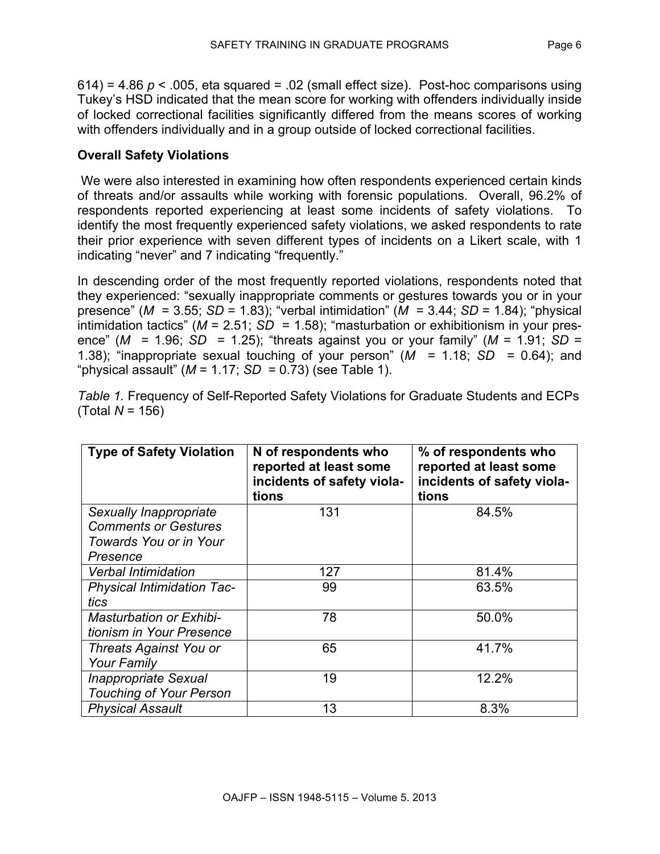$614$ ) = 4.86  $p$  < .005, eta squared = .02 (small effect size). Post-hoc comparisons using Tukey's HSD indicated that the mean score for working with offenders individually inside of locked correctional facilities significantly differed from the means scores of working with offenders individually and in a group outside of locked correctional facilities.

# **Overall Safety Violations**

We were also interested in examining how often respondents experienced certain kinds of threats and/or assaults while working with forensic populations. Overall, 96.2% of respondents reported experiencing at least some incidents of safety violations. To identify the most frequently experienced safety violations, we asked respondents to rate their prior experience with seven different types of incidents on a Likert scale, with 1 indicating "never" and 7 indicating "frequently."

In descending order of the most frequently reported violations, respondents noted that they experienced: "sexually inappropriate comments or gestures towards you or in your presence" (*M* = 3.55; *SD* = 1.83); "verbal intimidation" (*M* = 3.44; *SD* = 1.84); "physical intimidation tactics" (*M* = 2.51; *SD* = 1.58); "masturbation or exhibitionism in your presence" (*M* = 1.96; *SD* = 1.25); "threats against you or your family" (*M* = 1.91; *SD* = 1.38); "inappropriate sexual touching of your person"  $(M = 1.18; SD = 0.64)$ ; and "physical assault" (*M* = 1.17; *SD* = 0.73) (see Table 1).

| <b>Type of Safety Violation</b>                                                             | N of respondents who<br>reported at least some<br>incidents of safety viola-<br>tions | % of respondents who<br>reported at least some<br>incidents of safety viola-<br>tions |
|---------------------------------------------------------------------------------------------|---------------------------------------------------------------------------------------|---------------------------------------------------------------------------------------|
| Sexually Inappropriate<br><b>Comments or Gestures</b><br>Towards You or in Your<br>Presence | 131                                                                                   | 84.5%                                                                                 |
| <b>Verbal Intimidation</b>                                                                  | 127                                                                                   | 81.4%                                                                                 |
| <b>Physical Intimidation Tac-</b><br>tics                                                   | 99                                                                                    | 63.5%                                                                                 |
| <b>Masturbation or Exhibi-</b><br>tionism in Your Presence                                  | 78                                                                                    | 50.0%                                                                                 |
| Threats Against You or<br><b>Your Family</b>                                                | 65                                                                                    | 41.7%                                                                                 |
| <b>Inappropriate Sexual</b><br><b>Touching of Your Person</b>                               | 19                                                                                    | 12.2%                                                                                 |
| <b>Physical Assault</b>                                                                     | 13                                                                                    | 8.3%                                                                                  |

*Table 1.* Frequency of Self-Reported Safety Violations for Graduate Students and ECPs (Total *N* = 156)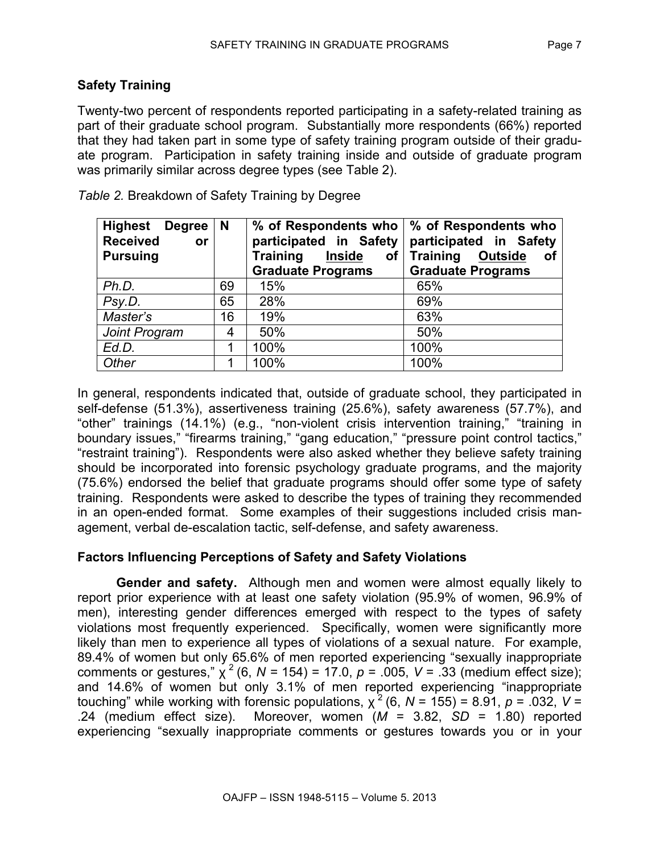# **Safety Training**

Twenty-two percent of respondents reported participating in a safety-related training as part of their graduate school program. Substantially more respondents (66%) reported that they had taken part in some type of safety training program outside of their graduate program. Participation in safety training inside and outside of graduate program was primarily similar across degree types (see Table 2).

| Highest Degree<br><b>Received</b><br><b>or</b><br><b>Pursuing</b> | N  | % of Respondents who   % of Respondents who<br>participated in Safety<br><b>Training</b><br><b>Inside</b><br>of <sub>l</sub><br><b>Graduate Programs</b> | participated in Safety<br>Outside<br><b>Training</b><br>of<br><b>Graduate Programs</b> |
|-------------------------------------------------------------------|----|----------------------------------------------------------------------------------------------------------------------------------------------------------|----------------------------------------------------------------------------------------|
| Ph.D.                                                             | 69 | 15%                                                                                                                                                      | 65%                                                                                    |
| Psy.D.                                                            | 65 | 28%                                                                                                                                                      | 69%                                                                                    |
| Master's                                                          | 16 | 19%                                                                                                                                                      | 63%                                                                                    |
| Joint Program                                                     | 4  | 50%                                                                                                                                                      | 50%                                                                                    |
| Ed.D.                                                             | 1  | 100%                                                                                                                                                     | 100%                                                                                   |
| Other                                                             | 1  | 100%                                                                                                                                                     | 100%                                                                                   |

*Table 2.* Breakdown of Safety Training by Degree

In general, respondents indicated that, outside of graduate school, they participated in self-defense (51.3%), assertiveness training (25.6%), safety awareness (57.7%), and "other" trainings (14.1%) (e.g., "non-violent crisis intervention training," "training in boundary issues," "firearms training," "gang education," "pressure point control tactics," "restraint training"). Respondents were also asked whether they believe safety training should be incorporated into forensic psychology graduate programs, and the majority (75.6%) endorsed the belief that graduate programs should offer some type of safety training. Respondents were asked to describe the types of training they recommended in an open-ended format. Some examples of their suggestions included crisis management, verbal de-escalation tactic, self-defense, and safety awareness.

# **Factors Influencing Perceptions of Safety and Safety Violations**

**Gender and safety.** Although men and women were almost equally likely to report prior experience with at least one safety violation (95.9% of women, 96.9% of men), interesting gender differences emerged with respect to the types of safety violations most frequently experienced. Specifically, women were significantly more likely than men to experience all types of violations of a sexual nature. For example, 89.4% of women but only 65.6% of men reported experiencing "sexually inappropriate comments or gestures,"  $\chi^2$  (6, *N* = 154) = 17.0, *p* = .005, *V* = .33 (medium effect size); and 14.6% of women but only 3.1% of men reported experiencing "inappropriate touching" while working with forensic populations,  $\chi^2$  (6, N = 155) = 8.91, p = .032, V = .24 (medium effect size). Moreover, women (*M* = 3.82, *SD* = 1.80) reported experiencing "sexually inappropriate comments or gestures towards you or in your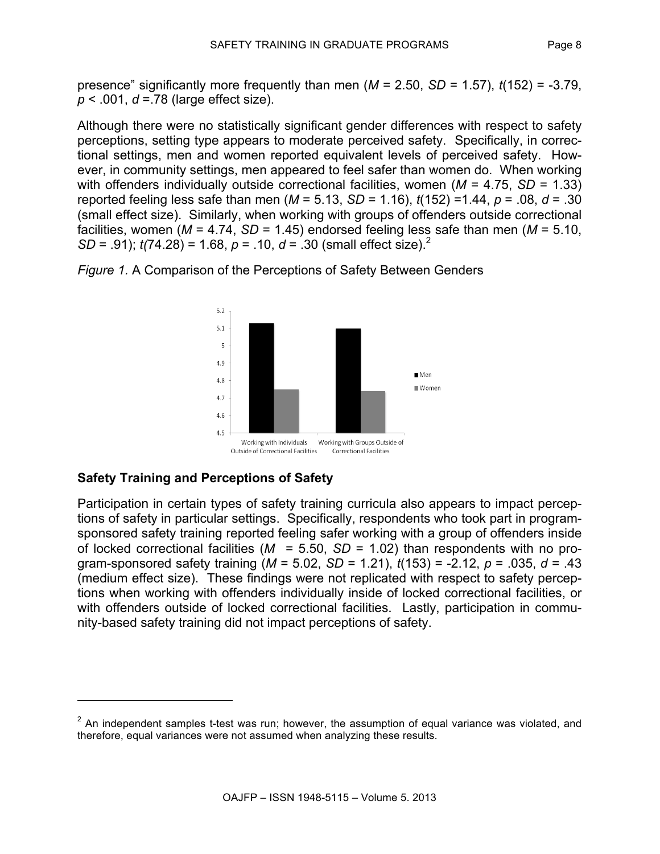presence" significantly more frequently than men  $(M = 2.50, SD = 1.57)$ ,  $t(152) = -3.79$ , *p* < .001, *d* =.78 (large effect size).

Although there were no statistically significant gender differences with respect to safety perceptions, setting type appears to moderate perceived safety. Specifically, in correctional settings, men and women reported equivalent levels of perceived safety. However, in community settings, men appeared to feel safer than women do. When working with offenders individually outside correctional facilities, women (*M* = 4.75, *SD* = 1.33) reported feeling less safe than men (*M* = 5.13, *SD* = 1.16), *t*(152) =1.44, *p* = .08, *d* = .30 (small effect size). Similarly, when working with groups of offenders outside correctional facilities, women (*M* = 4.74, *SD* = 1.45) endorsed feeling less safe than men (*M* = 5.10, *SD* = .91); *t(*74.28) = 1.68, *p* = .10, *d* = .30 (small effect size). 2



*Figure 1.* A Comparison of the Perceptions of Safety Between Genders

# **Safety Training and Perceptions of Safety**

l

Participation in certain types of safety training curricula also appears to impact perceptions of safety in particular settings. Specifically, respondents who took part in programsponsored safety training reported feeling safer working with a group of offenders inside of locked correctional facilities (*M* = 5.50, *SD* = 1.02) than respondents with no program-sponsored safety training (*M* = 5.02, *SD* = 1.21), *t*(153) = -2.12, *p* = .035, *d* = .43 (medium effect size). These findings were not replicated with respect to safety perceptions when working with offenders individually inside of locked correctional facilities, or with offenders outside of locked correctional facilities. Lastly, participation in community-based safety training did not impact perceptions of safety.

 $2$  An independent samples t-test was run; however, the assumption of equal variance was violated, and therefore, equal variances were not assumed when analyzing these results.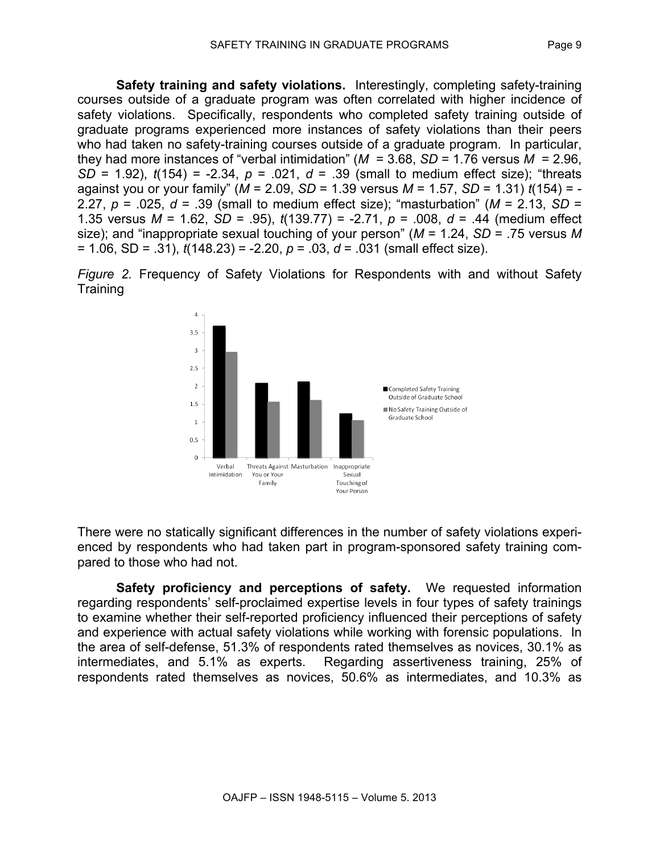**Safety training and safety violations.** Interestingly, completing safety-training courses outside of a graduate program was often correlated with higher incidence of safety violations. Specifically, respondents who completed safety training outside of graduate programs experienced more instances of safety violations than their peers who had taken no safety-training courses outside of a graduate program. In particular, they had more instances of "verbal intimidation" ( $M = 3.68$ ,  $SD = 1.76$  versus  $M = 2.96$ , *SD* = 1.92), *t*(154) = -2.34, *p* = .021, *d* = .39 (small to medium effect size); "threats against you or your family" (*M* = 2.09, *SD* = 1.39 versus *M* = 1.57, *SD* = 1.31) *t*(154) = - 2.27,  $p = 0.025$ ,  $d = 0.39$  (small to medium effect size); "masturbation" ( $M = 2.13$ , SD = 1.35 versus *M* = 1.62, *SD* = .95), *t*(139.77) = -2.71, *p* = .008, *d* = .44 (medium effect size); and "inappropriate sexual touching of your person" (*M* = 1.24, *SD* = .75 versus *M* = 1.06, SD = .31), *t*(148.23) = -2.20, *p* = .03, *d* = .031 (small effect size).

*Figure 2.* Frequency of Safety Violations for Respondents with and without Safety **Training** 



There were no statically significant differences in the number of safety violations experienced by respondents who had taken part in program-sponsored safety training compared to those who had not.

**Safety proficiency and perceptions of safety.** We requested information regarding respondents' self-proclaimed expertise levels in four types of safety trainings to examine whether their self-reported proficiency influenced their perceptions of safety and experience with actual safety violations while working with forensic populations. In the area of self-defense, 51.3% of respondents rated themselves as novices, 30.1% as intermediates, and 5.1% as experts. Regarding assertiveness training, 25% of respondents rated themselves as novices, 50.6% as intermediates, and 10.3% as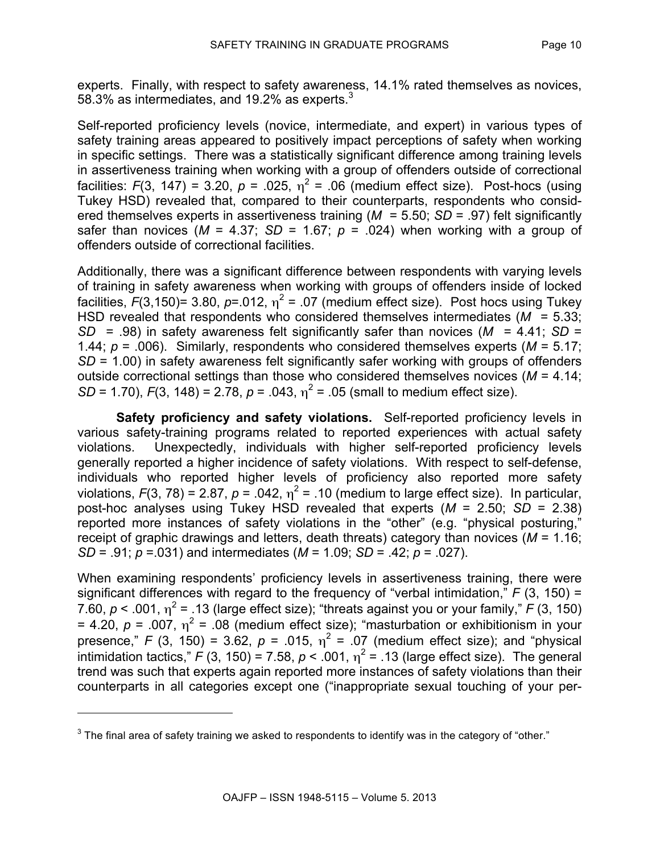experts. Finally, with respect to safety awareness, 14.1% rated themselves as novices, 58.3% as intermediates, and 19.2% as experts.<sup>3</sup>

Self-reported proficiency levels (novice, intermediate, and expert) in various types of safety training areas appeared to positively impact perceptions of safety when working in specific settings. There was a statistically significant difference among training levels in assertiveness training when working with a group of offenders outside of correctional facilities:  $F(3, 147) = 3.20$ ,  $p = .025$ ,  $\eta^2 = .06$  (medium effect size). Post-hocs (using Tukey HSD) revealed that, compared to their counterparts, respondents who considered themselves experts in assertiveness training (*M* = 5.50; *SD* = .97) felt significantly safer than novices ( $M = 4.37$ ;  $SD = 1.67$ ;  $p = .024$ ) when working with a group of offenders outside of correctional facilities.

Additionally, there was a significant difference between respondents with varying levels of training in safety awareness when working with groups of offenders inside of locked facilities,  $F(3, 150)$ = 3.80,  $p$ =.012,  $\eta^2$  = .07 (medium effect size). Post hocs using Tukey HSD revealed that respondents who considered themselves intermediates (*M* = 5.33; *SD* = .98) in safety awareness felt significantly safer than novices (*M* = 4.41; *SD* = 1.44; *p* = .006). Similarly, respondents who considered themselves experts (*M* = 5.17; *SD* = 1.00) in safety awareness felt significantly safer working with groups of offenders outside correctional settings than those who considered themselves novices (*M* = 4.14; *SD* = 1.70),  $F(3, 148) = 2.78$ ,  $p = .043$ ,  $\eta^2 = .05$  (small to medium effect size).

**Safety proficiency and safety violations.** Self-reported proficiency levels in various safety-training programs related to reported experiences with actual safety violations. Unexpectedly, individuals with higher self-reported proficiency levels generally reported a higher incidence of safety violations. With respect to self-defense, individuals who reported higher levels of proficiency also reported more safety violations,  $F(3, 78) = 2.87$ ,  $p = .042$ ,  $\eta^2 = .10$  (medium to large effect size). In particular, post-hoc analyses using Tukey HSD revealed that experts (*M* = 2.50; *SD* = 2.38) reported more instances of safety violations in the "other" (e.g. "physical posturing," receipt of graphic drawings and letters, death threats) category than novices (*M* = 1.16; *SD* = .91; *p* =.031) and intermediates (*M* = 1.09; *SD* = .42; *p* = .027).

When examining respondents' proficiency levels in assertiveness training, there were significant differences with regard to the frequency of "verbal intimidation," *F* (3, 150) = 7.60,  $p < .001$ ,  $\eta^2 = .13$  (large effect size); "threats against you or your family," *F* (3, 150) = 4.20,  $p = .007$ ,  $\eta^2 = .08$  (medium effect size); "masturbation or exhibitionism in your presence,"  $F$  (3, 150) = 3.62,  $p = .015$ ,  $\eta^2 = .07$  (medium effect size); and "physical intimidation tactics,"  $F(3, 150) = 7.58$ ,  $p < .001$ ,  $\eta^2 = .13$  (large effect size). The general trend was such that experts again reported more instances of safety violations than their counterparts in all categories except one ("inappropriate sexual touching of your per-

l

 $3$  The final area of safety training we asked to respondents to identify was in the category of "other."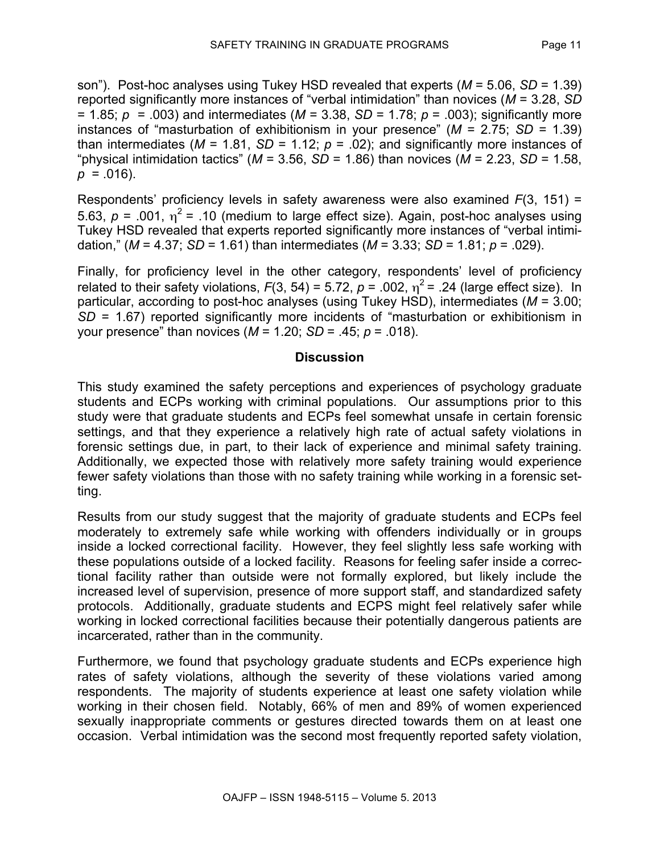son"). Post-hoc analyses using Tukey HSD revealed that experts (*M* = 5.06, *SD* = 1.39) reported significantly more instances of "verbal intimidation" than novices (*M* = 3.28, *SD* = 1.85; *p* = .003) and intermediates (*M* = 3.38, *SD* = 1.78; *p* = .003); significantly more instances of "masturbation of exhibitionism in your presence" (*M* = 2.75; *SD* = 1.39) than intermediates ( $M = 1.81$ ,  $SD = 1.12$ ;  $p = .02$ ); and significantly more instances of "physical intimidation tactics" ( $M = 3.56$ ,  $SD = 1.86$ ) than novices ( $M = 2.23$ ,  $SD = 1.58$ ,  $p = .016$ ).

Respondents' proficiency levels in safety awareness were also examined *F*(3, 151) = 5.63,  $p = 0.001$ ,  $\eta^2 = 0.10$  (medium to large effect size). Again, post-hoc analyses using Tukey HSD revealed that experts reported significantly more instances of "verbal intimidation," (*M* = 4.37; *SD* = 1.61) than intermediates (*M* = 3.33; *SD* = 1.81; *p* = .029).

Finally, for proficiency level in the other category, respondents' level of proficiency related to their safety violations,  $F(3, 54) = 5.72$ ,  $p = .002$ ,  $\eta^2 = .24$  (large effect size). In particular, according to post-hoc analyses (using Tukey HSD), intermediates (*M* = 3.00; *SD* = 1.67) reported significantly more incidents of "masturbation or exhibitionism in your presence" than novices (*M* = 1.20; *SD* = .45; *p* = .018).

#### **Discussion**

This study examined the safety perceptions and experiences of psychology graduate students and ECPs working with criminal populations. Our assumptions prior to this study were that graduate students and ECPs feel somewhat unsafe in certain forensic settings, and that they experience a relatively high rate of actual safety violations in forensic settings due, in part, to their lack of experience and minimal safety training. Additionally, we expected those with relatively more safety training would experience fewer safety violations than those with no safety training while working in a forensic setting.

Results from our study suggest that the majority of graduate students and ECPs feel moderately to extremely safe while working with offenders individually or in groups inside a locked correctional facility. However, they feel slightly less safe working with these populations outside of a locked facility. Reasons for feeling safer inside a correctional facility rather than outside were not formally explored, but likely include the increased level of supervision, presence of more support staff, and standardized safety protocols. Additionally, graduate students and ECPS might feel relatively safer while working in locked correctional facilities because their potentially dangerous patients are incarcerated, rather than in the community.

Furthermore, we found that psychology graduate students and ECPs experience high rates of safety violations, although the severity of these violations varied among respondents. The majority of students experience at least one safety violation while working in their chosen field. Notably, 66% of men and 89% of women experienced sexually inappropriate comments or gestures directed towards them on at least one occasion. Verbal intimidation was the second most frequently reported safety violation,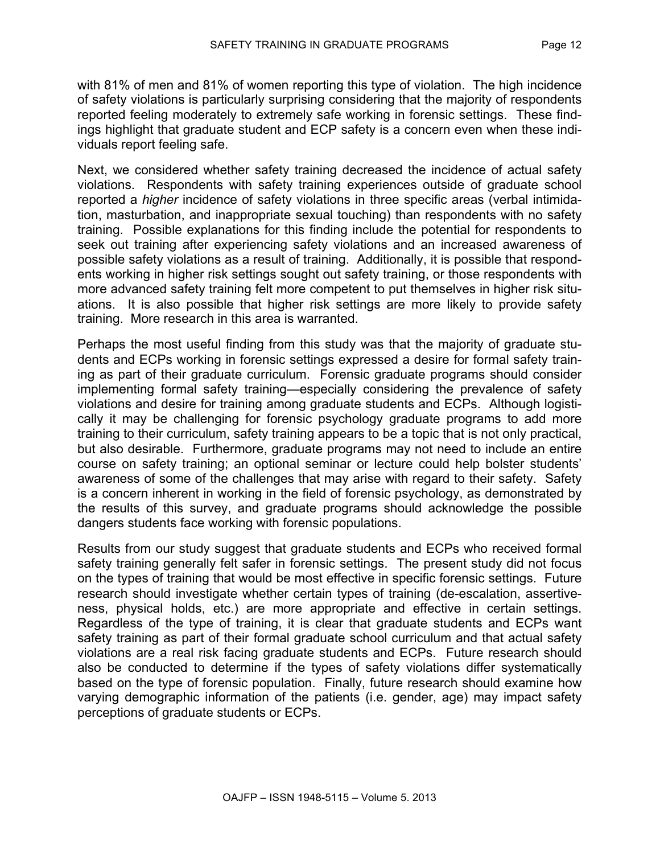with 81% of men and 81% of women reporting this type of violation. The high incidence of safety violations is particularly surprising considering that the majority of respondents reported feeling moderately to extremely safe working in forensic settings. These findings highlight that graduate student and ECP safety is a concern even when these individuals report feeling safe.

Next, we considered whether safety training decreased the incidence of actual safety violations. Respondents with safety training experiences outside of graduate school reported a *higher* incidence of safety violations in three specific areas (verbal intimidation, masturbation, and inappropriate sexual touching) than respondents with no safety training. Possible explanations for this finding include the potential for respondents to seek out training after experiencing safety violations and an increased awareness of possible safety violations as a result of training. Additionally, it is possible that respondents working in higher risk settings sought out safety training, or those respondents with more advanced safety training felt more competent to put themselves in higher risk situations. It is also possible that higher risk settings are more likely to provide safety training. More research in this area is warranted.

Perhaps the most useful finding from this study was that the majority of graduate students and ECPs working in forensic settings expressed a desire for formal safety training as part of their graduate curriculum. Forensic graduate programs should consider implementing formal safety training—especially considering the prevalence of safety violations and desire for training among graduate students and ECPs. Although logistically it may be challenging for forensic psychology graduate programs to add more training to their curriculum, safety training appears to be a topic that is not only practical, but also desirable. Furthermore, graduate programs may not need to include an entire course on safety training; an optional seminar or lecture could help bolster students' awareness of some of the challenges that may arise with regard to their safety. Safety is a concern inherent in working in the field of forensic psychology, as demonstrated by the results of this survey, and graduate programs should acknowledge the possible dangers students face working with forensic populations.

Results from our study suggest that graduate students and ECPs who received formal safety training generally felt safer in forensic settings. The present study did not focus on the types of training that would be most effective in specific forensic settings. Future research should investigate whether certain types of training (de-escalation, assertiveness, physical holds, etc.) are more appropriate and effective in certain settings. Regardless of the type of training, it is clear that graduate students and ECPs want safety training as part of their formal graduate school curriculum and that actual safety violations are a real risk facing graduate students and ECPs. Future research should also be conducted to determine if the types of safety violations differ systematically based on the type of forensic population. Finally, future research should examine how varying demographic information of the patients (i.e. gender, age) may impact safety perceptions of graduate students or ECPs.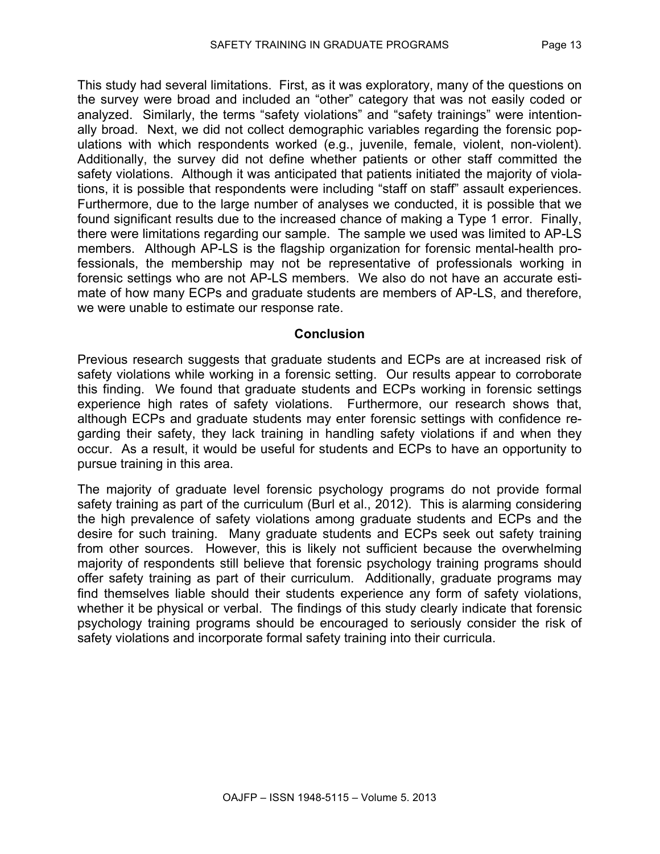This study had several limitations. First, as it was exploratory, many of the questions on the survey were broad and included an "other" category that was not easily coded or analyzed. Similarly, the terms "safety violations" and "safety trainings" were intentionally broad. Next, we did not collect demographic variables regarding the forensic populations with which respondents worked (e.g., juvenile, female, violent, non-violent). Additionally, the survey did not define whether patients or other staff committed the safety violations. Although it was anticipated that patients initiated the majority of violations, it is possible that respondents were including "staff on staff" assault experiences. Furthermore, due to the large number of analyses we conducted, it is possible that we found significant results due to the increased chance of making a Type 1 error. Finally, there were limitations regarding our sample. The sample we used was limited to AP-LS members. Although AP-LS is the flagship organization for forensic mental-health professionals, the membership may not be representative of professionals working in forensic settings who are not AP-LS members. We also do not have an accurate estimate of how many ECPs and graduate students are members of AP-LS, and therefore, we were unable to estimate our response rate.

#### **Conclusion**

Previous research suggests that graduate students and ECPs are at increased risk of safety violations while working in a forensic setting. Our results appear to corroborate this finding. We found that graduate students and ECPs working in forensic settings experience high rates of safety violations. Furthermore, our research shows that, although ECPs and graduate students may enter forensic settings with confidence regarding their safety, they lack training in handling safety violations if and when they occur. As a result, it would be useful for students and ECPs to have an opportunity to pursue training in this area.

The majority of graduate level forensic psychology programs do not provide formal safety training as part of the curriculum (Burl et al., 2012). This is alarming considering the high prevalence of safety violations among graduate students and ECPs and the desire for such training. Many graduate students and ECPs seek out safety training from other sources. However, this is likely not sufficient because the overwhelming majority of respondents still believe that forensic psychology training programs should offer safety training as part of their curriculum. Additionally, graduate programs may find themselves liable should their students experience any form of safety violations, whether it be physical or verbal. The findings of this study clearly indicate that forensic psychology training programs should be encouraged to seriously consider the risk of safety violations and incorporate formal safety training into their curricula.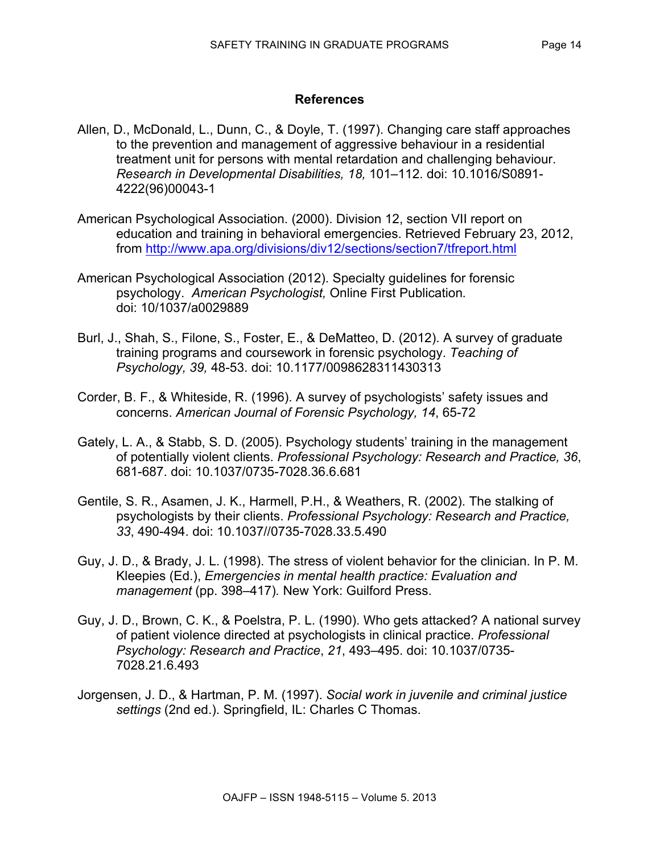## **References**

- Allen, D., McDonald, L., Dunn, C., & Doyle, T. (1997). Changing care staff approaches to the prevention and management of aggressive behaviour in a residential treatment unit for persons with mental retardation and challenging behaviour. *Research in Developmental Disabilities, 18,* 101–112. doi: 10.1016/S0891- 4222(96)00043-1
- American Psychological Association. (2000). Division 12, section VII report on education and training in behavioral emergencies. Retrieved February 23, 2012, from http://www.apa.org/divisions/div12/sections/section7/tfreport.html
- American Psychological Association (2012). Specialty guidelines for forensic psychology. *American Psychologist,* Online First Publication*.* doi: 10/1037/a0029889
- Burl, J., Shah, S., Filone, S., Foster, E., & DeMatteo, D. (2012). A survey of graduate training programs and coursework in forensic psychology. *Teaching of Psychology, 39,* 48-53. doi: 10.1177/0098628311430313
- Corder, B. F., & Whiteside, R. (1996). A survey of psychologists' safety issues and concerns. *American Journal of Forensic Psychology, 14*, 65-72
- Gately, L. A., & Stabb, S. D. (2005). Psychology students' training in the management of potentially violent clients. *Professional Psychology: Research and Practice, 36*, 681-687. doi: 10.1037/0735-7028.36.6.681
- Gentile, S. R., Asamen, J. K., Harmell, P.H., & Weathers, R. (2002). The stalking of psychologists by their clients. *Professional Psychology: Research and Practice, 33*, 490-494. doi: 10.1037//0735-7028.33.5.490
- Guy, J. D., & Brady, J. L. (1998). The stress of violent behavior for the clinician. In P. M. Kleepies (Ed.), *Emergencies in mental health practice: Evaluation and management* (pp. 398*–*417)*.* New York: Guilford Press.
- Guy, J. D., Brown, C. K., & Poelstra, P. L. (1990). Who gets attacked? A national survey of patient violence directed at psychologists in clinical practice. *Professional Psychology: Research and Practice*, *21*, 493–495. doi: 10.1037/0735- 7028.21.6.493
- Jorgensen, J. D., & Hartman, P. M. (1997). *Social work in juvenile and criminal justice settings* (2nd ed.). Springfield, IL: Charles C Thomas.